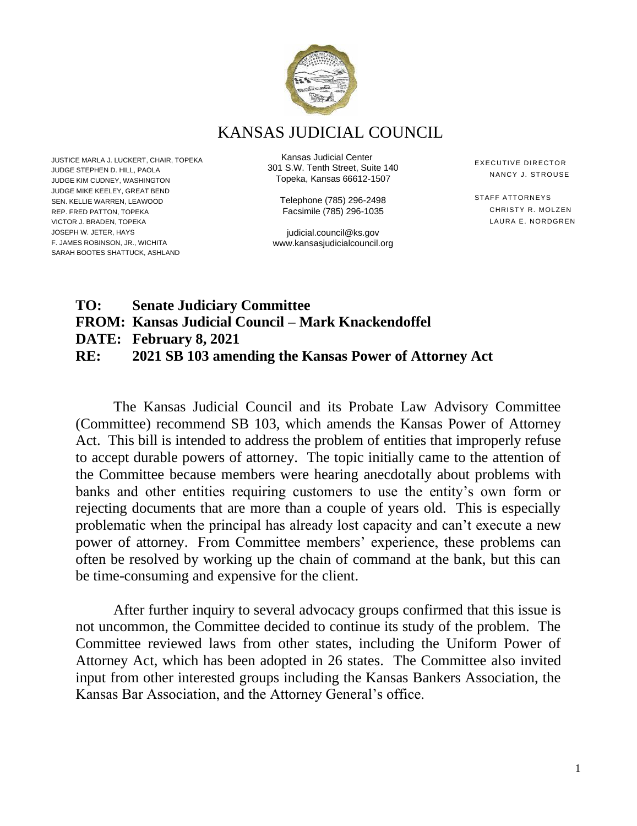

KANSAS JUDICIAL COUNCIL

JUSTICE MARLA J. LUCKERT, CHAIR, TOPEKA JUDGE STEPHEN D. HILL, PAOLA JUDGE KIM CUDNEY, WASHINGTON JUDGE MIKE KEELEY, GREAT BEND SEN. KELLIE WARREN, LEAWOOD REP. FRED PATTON, TOPEKA VICTOR J. BRADEN, TOPEKA JOSEPH W. JETER, HAYS F. JAMES ROBINSON, JR., WICHITA SARAH BOOTES SHATTUCK, ASHLAND

Kansas Judicial Center 301 S.W. Tenth Street, Suite 140 Topeka, Kansas 66612-1507

> Telephone (785) 296-2498 Facsimile (785) 296-1035

judicial.council@ks.gov www.kansasjudicialcouncil.org EXECUTIVE DIRECTOR NANCY J. STROUSE

STAFF ATTORNEYS CHRISTY R. MOLZEN LAURA E. NORDGREN

## **TO: Senate Judiciary Committee FROM: Kansas Judicial Council – Mark Knackendoffel DATE: February 8, 2021 RE: 2021 SB 103 amending the Kansas Power of Attorney Act**

The Kansas Judicial Council and its Probate Law Advisory Committee (Committee) recommend SB 103, which amends the Kansas Power of Attorney Act. This bill is intended to address the problem of entities that improperly refuse to accept durable powers of attorney. The topic initially came to the attention of the Committee because members were hearing anecdotally about problems with banks and other entities requiring customers to use the entity's own form or rejecting documents that are more than a couple of years old. This is especially problematic when the principal has already lost capacity and can't execute a new power of attorney. From Committee members' experience, these problems can often be resolved by working up the chain of command at the bank, but this can be time-consuming and expensive for the client.

After further inquiry to several advocacy groups confirmed that this issue is not uncommon, the Committee decided to continue its study of the problem. The Committee reviewed laws from other states, including the Uniform Power of Attorney Act, which has been adopted in 26 states. The Committee also invited input from other interested groups including the Kansas Bankers Association, the Kansas Bar Association, and the Attorney General's office.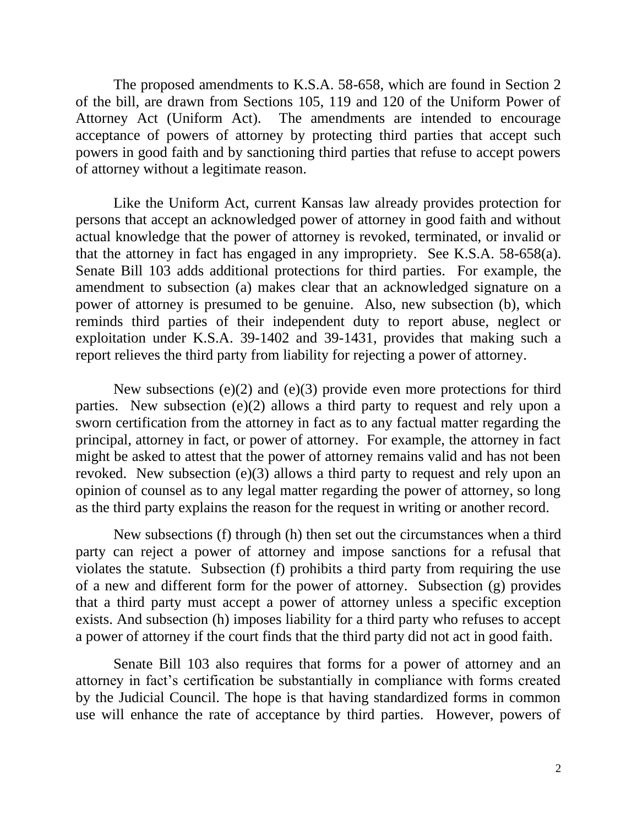The proposed amendments to K.S.A. 58-658, which are found in Section 2 of the bill, are drawn from Sections 105, 119 and 120 of the Uniform Power of Attorney Act (Uniform Act). The amendments are intended to encourage acceptance of powers of attorney by protecting third parties that accept such powers in good faith and by sanctioning third parties that refuse to accept powers of attorney without a legitimate reason.

Like the Uniform Act, current Kansas law already provides protection for persons that accept an acknowledged power of attorney in good faith and without actual knowledge that the power of attorney is revoked, terminated, or invalid or that the attorney in fact has engaged in any impropriety. See K.S.A. 58-658(a). Senate Bill 103 adds additional protections for third parties. For example, the amendment to subsection (a) makes clear that an acknowledged signature on a power of attorney is presumed to be genuine. Also, new subsection (b), which reminds third parties of their independent duty to report abuse, neglect or exploitation under K.S.A. 39-1402 and 39-1431, provides that making such a report relieves the third party from liability for rejecting a power of attorney.

New subsections (e)(2) and (e)(3) provide even more protections for third parties. New subsection (e)(2) allows a third party to request and rely upon a sworn certification from the attorney in fact as to any factual matter regarding the principal, attorney in fact, or power of attorney. For example, the attorney in fact might be asked to attest that the power of attorney remains valid and has not been revoked. New subsection (e)(3) allows a third party to request and rely upon an opinion of counsel as to any legal matter regarding the power of attorney, so long as the third party explains the reason for the request in writing or another record.

New subsections (f) through (h) then set out the circumstances when a third party can reject a power of attorney and impose sanctions for a refusal that violates the statute. Subsection (f) prohibits a third party from requiring the use of a new and different form for the power of attorney. Subsection (g) provides that a third party must accept a power of attorney unless a specific exception exists. And subsection (h) imposes liability for a third party who refuses to accept a power of attorney if the court finds that the third party did not act in good faith.

Senate Bill 103 also requires that forms for a power of attorney and an attorney in fact's certification be substantially in compliance with forms created by the Judicial Council. The hope is that having standardized forms in common use will enhance the rate of acceptance by third parties. However, powers of